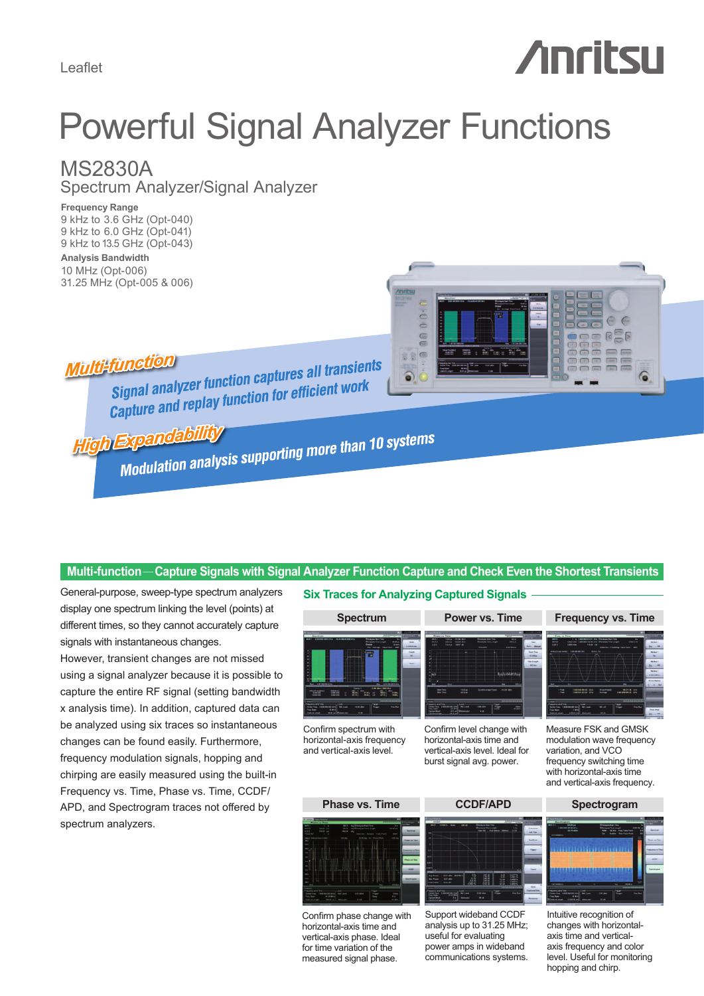Leaflet

# **Anritsu**

## Powerful Signal Analyzer Functions

### MS2830A

Spectrum Analyzer/Signal Analyzer

**Frequency Range** 9 kHz to 3.6 GHz (Opt-040) 9 kHz to 6.0 GHz (Opt-041) 9 kHz to 13.5 GHz (Opt-043) **Analysis Bandwidth** 10 MHz (Opt-006)

31.25 MHz (Opt-005 & 006)



**Multi-function** 

**function**<br>Signal analyzer function captures all transients<br>Signal analyzer function for efficient work Signal analyzer function captures an numeric<br>Capture and replay function for efficient work

**High Expandability** 

**Expandability**<br>Modulation analysis supporting more than 10 systems

#### **Multi-function** —**Capture Signals with Signal Analyzer Function Capture and Check Even the Shortest Transients**

General-purpose, sweep-type spectrum analyzers **Six Traces for Analyzing Captured Signals** display one spectrum linking the level (points) at different times, so they cannot accurately capture signals with instantaneous changes. However, transient changes are not missed using a signal analyzer because it is possible to capture the entire RF signal (setting bandwidth x analysis time). In addition, captured data can be analyzed using six traces so instantaneous changes can be found easily. Furthermore, frequency modulation signals, hopping and chirping are easily measured using the built-in Frequency vs. Time, Phase vs. Time, CCDF/ APD, and Spectrogram traces not offered by spectrum analyzers.

### **Spectrum Power vs. Time**





Confirm phase change with horizontal-axis time and vertical-axis phase. Ideal for time variation of the measured signal phase.

Support wideband CCDF analysis up to 31.25 MHz; useful for evaluating power amps in wideband communications systems.



Intuitive recognition of changes with horizontalaxis time and verticalaxis frequency and color level. Useful for monitoring hopping and chirp.